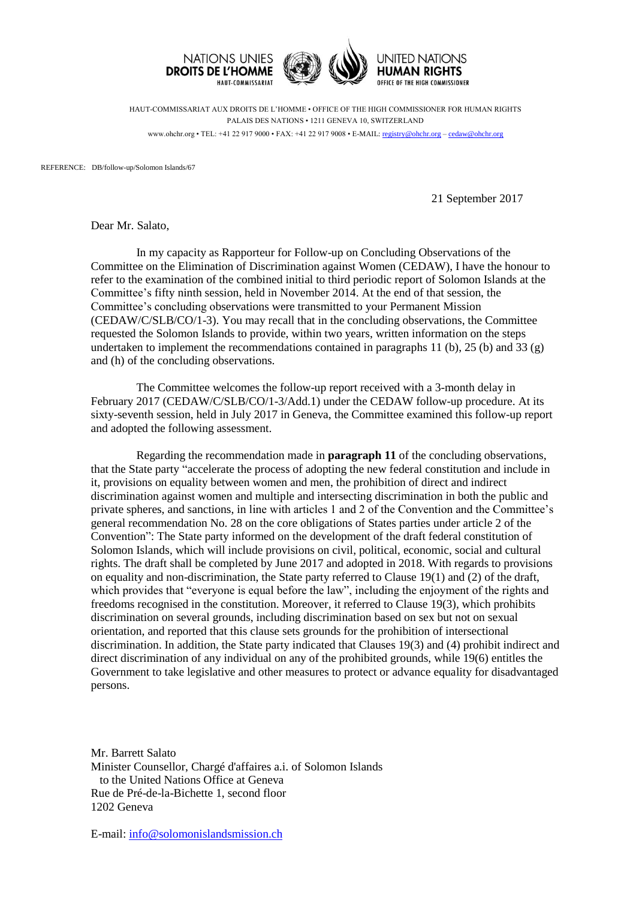

HAUT-COMMISSARIAT AUX DROITS DE L'HOMME • OFFICE OF THE HIGH COMMISSIONER FOR HUMAN RIGHTS PALAIS DES NATIONS • 1211 GENEVA 10, SWITZERLAND www.ohchr.org • TEL: +41 22 917 9000 • FAX: +41 22 917 9008 • E-MAIL: [registry@ohchr.org](mailto:registry@ohchr.org) – [cedaw@ohchr.org](mailto:cedaw@ohchr.org)

REFERENCE: DB/follow-up/Solomon Islands/67

21 September 2017

Dear Mr. Salato,

In my capacity as Rapporteur for Follow-up on Concluding Observations of the Committee on the Elimination of Discrimination against Women (CEDAW), I have the honour to refer to the examination of the combined initial to third periodic report of Solomon Islands at the Committee's fifty ninth session, held in November 2014. At the end of that session, the Committee's concluding observations were transmitted to your Permanent Mission (CEDAW/C/SLB/CO/1-3). You may recall that in the concluding observations, the Committee requested the Solomon Islands to provide, within two years, written information on the steps undertaken to implement the recommendations contained in paragraphs 11 (b), 25 (b) and 33 (g) and (h) of the concluding observations.

The Committee welcomes the follow-up report received with a 3-month delay in February 2017 (CEDAW/C/SLB/CO/1-3/Add.1) under the CEDAW follow-up procedure. At its sixty-seventh session, held in July 2017 in Geneva, the Committee examined this follow-up report and adopted the following assessment.

Regarding the recommendation made in **paragraph 11** of the concluding observations, that the State party "accelerate the process of adopting the new federal constitution and include in it, provisions on equality between women and men, the prohibition of direct and indirect discrimination against women and multiple and intersecting discrimination in both the public and private spheres, and sanctions, in line with articles 1 and 2 of the Convention and the Committee's general recommendation No. 28 on the core obligations of States parties under article 2 of the Convention": The State party informed on the development of the draft federal constitution of Solomon Islands, which will include provisions on civil, political, economic, social and cultural rights. The draft shall be completed by June 2017 and adopted in 2018. With regards to provisions on equality and non-discrimination, the State party referred to Clause 19(1) and (2) of the draft, which provides that "everyone is equal before the law", including the enjoyment of the rights and freedoms recognised in the constitution. Moreover, it referred to Clause 19(3), which prohibits discrimination on several grounds, including discrimination based on sex but not on sexual orientation, and reported that this clause sets grounds for the prohibition of intersectional discrimination. In addition, the State party indicated that Clauses 19(3) and (4) prohibit indirect and direct discrimination of any individual on any of the prohibited grounds, while 19(6) entitles the Government to take legislative and other measures to protect or advance equality for disadvantaged persons.

Mr. Barrett Salato Minister Counsellor, Chargé d'affaires a.i. of Solomon Islands to the United Nations Office at Geneva Rue de Pré-de-la-Bichette 1, second floor 1202 Geneva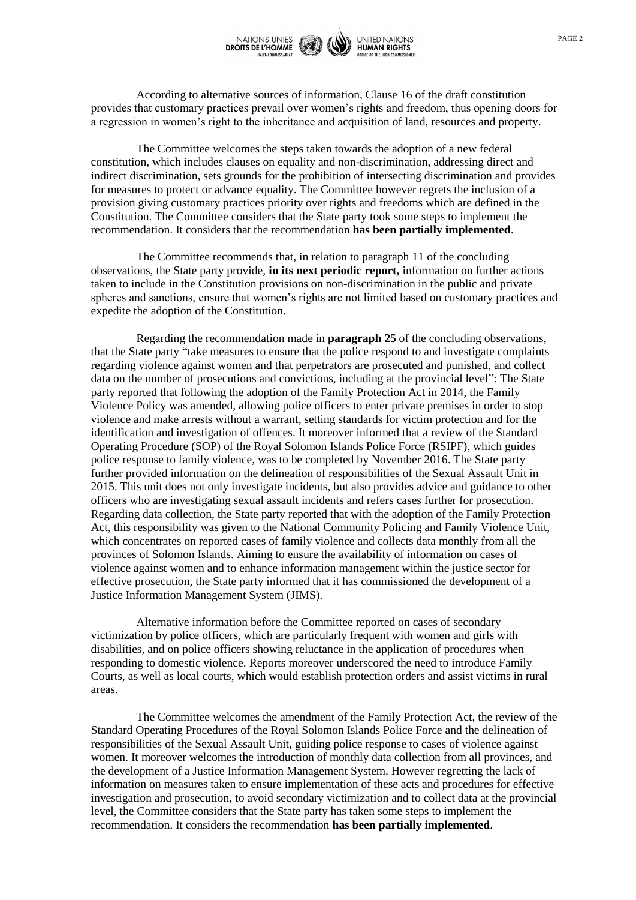

According to alternative sources of information, Clause 16 of the draft constitution provides that customary practices prevail over women's rights and freedom, thus opening doors for a regression in women's right to the inheritance and acquisition of land, resources and property.

The Committee welcomes the steps taken towards the adoption of a new federal constitution, which includes clauses on equality and non-discrimination, addressing direct and indirect discrimination, sets grounds for the prohibition of intersecting discrimination and provides for measures to protect or advance equality. The Committee however regrets the inclusion of a provision giving customary practices priority over rights and freedoms which are defined in the Constitution. The Committee considers that the State party took some steps to implement the recommendation. It considers that the recommendation **has been partially implemented**.

The Committee recommends that, in relation to paragraph 11 of the concluding observations, the State party provide, **in its next periodic report,** information on further actions taken to include in the Constitution provisions on non-discrimination in the public and private spheres and sanctions, ensure that women's rights are not limited based on customary practices and expedite the adoption of the Constitution.

Regarding the recommendation made in **paragraph 25** of the concluding observations, that the State party "take measures to ensure that the police respond to and investigate complaints regarding violence against women and that perpetrators are prosecuted and punished, and collect data on the number of prosecutions and convictions, including at the provincial level": The State party reported that following the adoption of the Family Protection Act in 2014, the Family Violence Policy was amended, allowing police officers to enter private premises in order to stop violence and make arrests without a warrant, setting standards for victim protection and for the identification and investigation of offences. It moreover informed that a review of the Standard Operating Procedure (SOP) of the Royal Solomon Islands Police Force (RSIPF), which guides police response to family violence, was to be completed by November 2016. The State party further provided information on the delineation of responsibilities of the Sexual Assault Unit in 2015. This unit does not only investigate incidents, but also provides advice and guidance to other officers who are investigating sexual assault incidents and refers cases further for prosecution. Regarding data collection, the State party reported that with the adoption of the Family Protection Act, this responsibility was given to the National Community Policing and Family Violence Unit, which concentrates on reported cases of family violence and collects data monthly from all the provinces of Solomon Islands. Aiming to ensure the availability of information on cases of violence against women and to enhance information management within the justice sector for effective prosecution, the State party informed that it has commissioned the development of a Justice Information Management System (JIMS).

Alternative information before the Committee reported on cases of secondary victimization by police officers, which are particularly frequent with women and girls with disabilities, and on police officers showing reluctance in the application of procedures when responding to domestic violence. Reports moreover underscored the need to introduce Family Courts, as well as local courts, which would establish protection orders and assist victims in rural areas.

The Committee welcomes the amendment of the Family Protection Act, the review of the Standard Operating Procedures of the Royal Solomon Islands Police Force and the delineation of responsibilities of the Sexual Assault Unit, guiding police response to cases of violence against women. It moreover welcomes the introduction of monthly data collection from all provinces, and the development of a Justice Information Management System. However regretting the lack of information on measures taken to ensure implementation of these acts and procedures for effective investigation and prosecution, to avoid secondary victimization and to collect data at the provincial level, the Committee considers that the State party has taken some steps to implement the recommendation. It considers the recommendation **has been partially implemented**.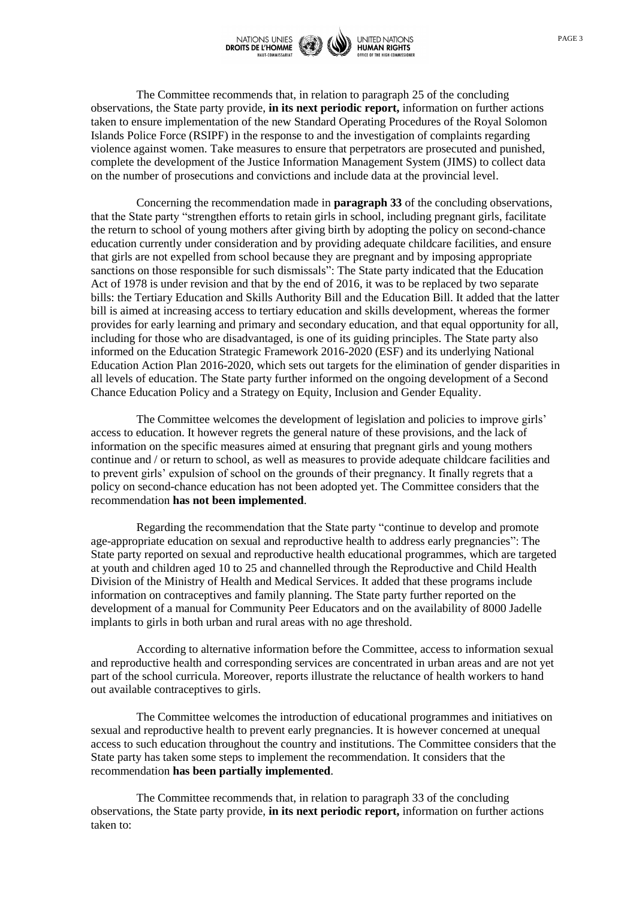

The Committee recommends that, in relation to paragraph 25 of the concluding observations, the State party provide, **in its next periodic report,** information on further actions taken to ensure implementation of the new Standard Operating Procedures of the Royal Solomon Islands Police Force (RSIPF) in the response to and the investigation of complaints regarding violence against women. Take measures to ensure that perpetrators are prosecuted and punished, complete the development of the Justice Information Management System (JIMS) to collect data on the number of prosecutions and convictions and include data at the provincial level.

Concerning the recommendation made in **paragraph 33** of the concluding observations, that the State party "strengthen efforts to retain girls in school, including pregnant girls, facilitate the return to school of young mothers after giving birth by adopting the policy on second-chance education currently under consideration and by providing adequate childcare facilities, and ensure that girls are not expelled from school because they are pregnant and by imposing appropriate sanctions on those responsible for such dismissals": The State party indicated that the Education Act of 1978 is under revision and that by the end of 2016, it was to be replaced by two separate bills: the Tertiary Education and Skills Authority Bill and the Education Bill. It added that the latter bill is aimed at increasing access to tertiary education and skills development, whereas the former provides for early learning and primary and secondary education, and that equal opportunity for all, including for those who are disadvantaged, is one of its guiding principles. The State party also informed on the Education Strategic Framework 2016-2020 (ESF) and its underlying National Education Action Plan 2016-2020, which sets out targets for the elimination of gender disparities in all levels of education. The State party further informed on the ongoing development of a Second Chance Education Policy and a Strategy on Equity, Inclusion and Gender Equality.

The Committee welcomes the development of legislation and policies to improve girls' access to education. It however regrets the general nature of these provisions, and the lack of information on the specific measures aimed at ensuring that pregnant girls and young mothers continue and / or return to school, as well as measures to provide adequate childcare facilities and to prevent girls' expulsion of school on the grounds of their pregnancy. It finally regrets that a policy on second-chance education has not been adopted yet. The Committee considers that the recommendation **has not been implemented**.

Regarding the recommendation that the State party "continue to develop and promote age-appropriate education on sexual and reproductive health to address early pregnancies": The State party reported on sexual and reproductive health educational programmes, which are targeted at youth and children aged 10 to 25 and channelled through the Reproductive and Child Health Division of the Ministry of Health and Medical Services. It added that these programs include information on contraceptives and family planning. The State party further reported on the development of a manual for Community Peer Educators and on the availability of 8000 Jadelle implants to girls in both urban and rural areas with no age threshold.

According to alternative information before the Committee, access to information sexual and reproductive health and corresponding services are concentrated in urban areas and are not yet part of the school curricula. Moreover, reports illustrate the reluctance of health workers to hand out available contraceptives to girls.

The Committee welcomes the introduction of educational programmes and initiatives on sexual and reproductive health to prevent early pregnancies. It is however concerned at unequal access to such education throughout the country and institutions. The Committee considers that the State party has taken some steps to implement the recommendation. It considers that the recommendation **has been partially implemented**.

The Committee recommends that, in relation to paragraph 33 of the concluding observations, the State party provide, **in its next periodic report,** information on further actions taken to: